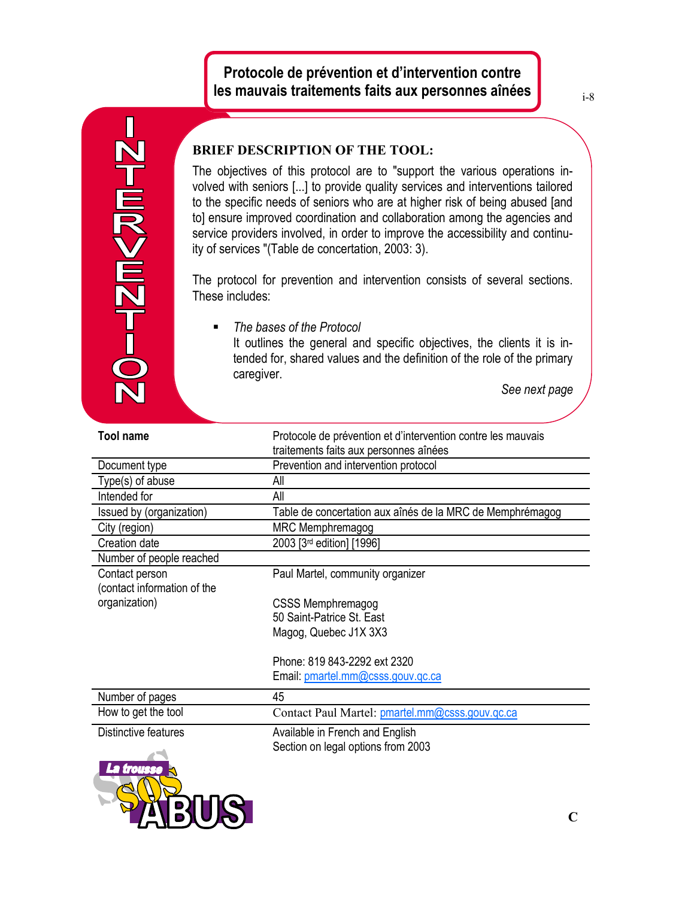# **Protocole de prévention et d'intervention contre les mauvais traitements faits aux personnes aînées**

**C-HZMKAMH** 

**LETOTOL** 

## **BRIEF DESCRIPTION OF THE TOOL:**

The objectives of this protocol are to "support the various operations involved with seniors [...] to provide quality services and interventions tailored to the specific needs of seniors who are at higher risk of being abused [and to] ensure improved coordination and collaboration among the agencies and service providers involved, in order to improve the accessibility and continuity of services "(Table de concertation, 2003: 3).

The protocol for prevention and intervention consists of several sections. These includes:

*The bases of the Protocol*

It outlines the general and specific objectives, the clients it is intended for, shared values and the definition of the role of the primary caregiver.

*See next page*

| <b>Tool name</b>            | Protocole de prévention et d'intervention contre les mauvais |
|-----------------------------|--------------------------------------------------------------|
|                             | traitements faits aux personnes aînées                       |
| Document type               | Prevention and intervention protocol                         |
| Type(s) of abuse            | All                                                          |
| Intended for                | All                                                          |
| Issued by (organization)    | Table de concertation aux aînés de la MRC de Memphrémagog    |
| City (region)               | MRC Memphremagog                                             |
| Creation date               | 2003 [3 <sup>rd</sup> edition] [1996]                        |
| Number of people reached    |                                                              |
| Contact person              | Paul Martel, community organizer                             |
| (contact information of the |                                                              |
| organization)               | <b>CSSS Memphremagog</b>                                     |
|                             | 50 Saint-Patrice St. East                                    |
|                             | Magog, Quebec J1X 3X3                                        |
|                             |                                                              |
|                             | Phone: 819 843-2292 ext 2320                                 |
|                             | Email: pmartel.mm@csss.gouv.gc.ca                            |
| Number of pages             | 45                                                           |
| How to get the tool         | Contact Paul Martel: pmartel.mm@csss.gouv.gc.ca              |
| Distinctive features        | Available in French and English                              |
|                             | Section on legal options from 2003                           |
| La trousse                  |                                                              |